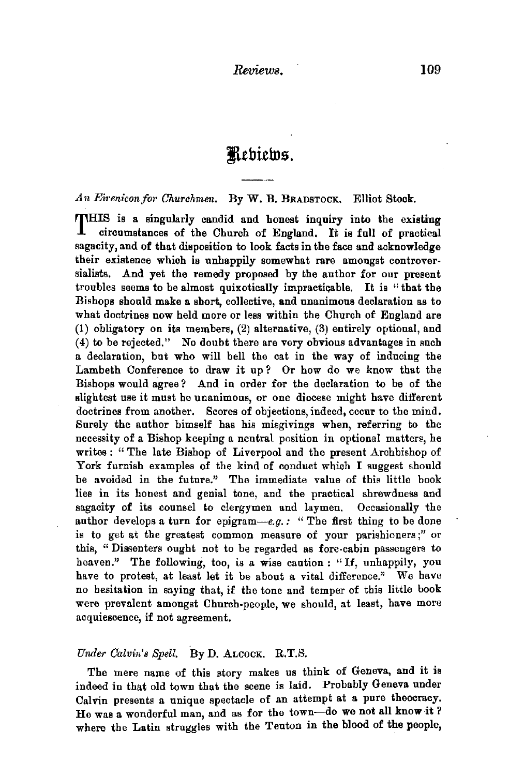# **JtebithtG.**

An Eirenicon for Churchmen. By W. B. BRADSTOCK. Elliot Stock.

THIS is a singularly candid and honest inquiry into the existing circumstances of the Church of England. It is full of practical sagacity, and of that disposition to look facts in the face and acknowledge their existence which is unhappily somewhat rare amongst controver· sialists. And yet the remedy proposed by the author for our present troubles seems to be almost quixotically impractiqable. It is "that the Bishops should make a. short, collective, and unanimous declaration as to what doctrines now held more or less within the Church of England are (1) obligatory on its members, (2) alternative, (3) entirely optional, and (4) to be rejected." No doubt there are very obvious advantages in such a declaration, but who will hell the cat in the way of inducing the Lambeth Conference to draw it up ? Or how do we know that the Bishops would agree? And in order for the declaration to be of the slightest use it must be unanimous, or one diocese might have different doctrines from another. Scores of objections, indeed, occur to the mind. Surely the author himself has his misgivings when, referring to the necessity of a Bishop keeping a neutral position in optional matters, he writes : "The late Bishop of Liverpool and the present Archbishop of York furnish examples of the kind of conduct which I suggest should be avoided in the future." The immediate value of this little book lies in its honest and genial tone, and the practical shrewdness and sagacity of its counsel to clergymen and laymen. Occasionally the author develops a turn for epigram-e.g.: "The first thing to be done is to get at the greatest common measure of your parishioners;" or this, " Dissenters ought not to be regarded as fore-cabin passengers to heaven." The following, too, is a wise caution : "If, unhappily, you have to protest, at least let it be about a vital difference." We have no hesitation in saying that, if the tone and temper of this little hook were prevalent amongst Church-people, we should, at least, have more acquiescence, if not agreement.

#### *Under Calvin's Spell.* By D. ALCOCK. R.T.S.

The mere name of this story makes us think of Geneva, and it is indeed in that old town that the scene is laid. Probably Geneva under Calvin presents a unique spectacle of an attempt at a pure theocracy. He was a wonderful man, and as for the town-do we not all know it? where the Latin struggles with the Teuton in the blood of the people,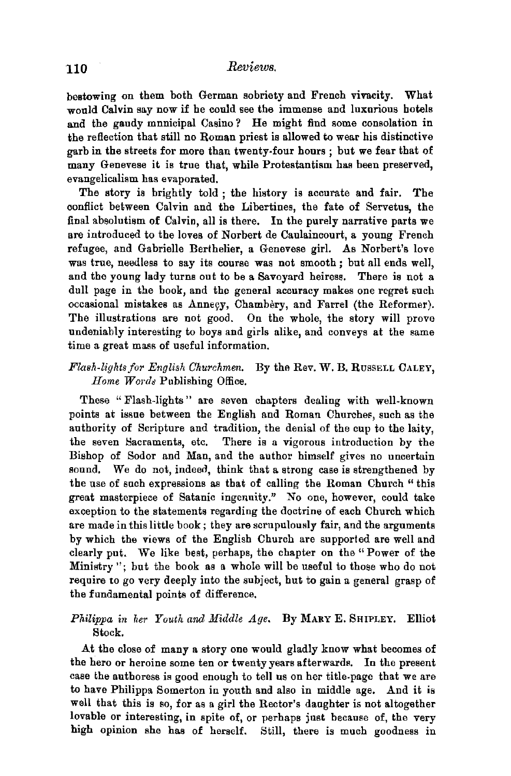# 110 *Reviews.*

bestowing on them both German sobriety and French vivacity. What would Calvin say now if he could see the immense and luxurious hotels and the gaudy municipal Casino? He might find some consolation in the reflection that still no Roman priest is allowed to wear his distinctive garb in the streets for more than twenty-four hours ; but we fear that of many Genevese it is true that, while Protestantism has been preserved, evangelicalism has evaporated.

The story is brightly told ; the history is accurate and fair. The conflict between Calvin and the Libertines, the fate of Servetus, the final absolutism of Calvin, all is there. In the purely narrative parts we are introduced to the loves of Norbert de Canlainconrt, a young French refugee, and Gabrielle Berthelier, a Genevese girl. As Norbert's love was true, needless to say its course was not smooth *;* but all ends well, and the young lady turns out to be a Savoyard heiress. There is not a dull page in the book, and the general accuracy makes one regret such occasional mistakes as Annegy, Chambery, and Farrel (the Reformer). The illustrations are not good. On the whole, the story will prove undeniably interesting to boys and girls alike, and conveys at the same time a great mass of useful information.

#### *Flash-lights for English Churchmen.* By the Rev. W. B. RusSELL CALEY, *Home Wo1·ds* Publishing Office.

These "Flash-lights" are seven chapters dealing with well-known points at issue between the English and Roman Churches, such as the authority of Scripture and tradition, the denial of the cup to the laity, the seven Sacraments, etc. There is a vigorous introduction by the Bishop of Sodor and Man, and the author himself gives no uncertain sound. We do not, indeed, think that a strong case is strengthened by the use of such expressions as that of calling the Roman Church " this great masterpiece of Satanic ingenuity." No one, however, could take exception to the statements regarding the doctrine of each Church which are made in this little book; they are scrupulously fair, and the arguments by which the views of the English Church are supported are well and clearly put. We like best, perhaps, the chapter on the "Power of the Ministry"; but the book as a whole will be useful to those who do not require to go very deeply into the subject, but to gain a general grasp of the fundamental points of difference.

## *Philippa in her Youth and Middle Age.* By MARY E. SHIPLEY. Elliot Stock.

At the close of many a story one would gladly know what becomes of the hero or heroine some ten or twenty years afterwards. In the present case the authoress is good enough to tell us on her title-page that we are to have Philippa Somerton in youth and also in middle age, And it is well that this is so, for as a girl the Rector's daughter is not altogether lovable or interesting, in spite of, or perhaps just because of, the very high opinion she has of herself. Still, there is much goodness in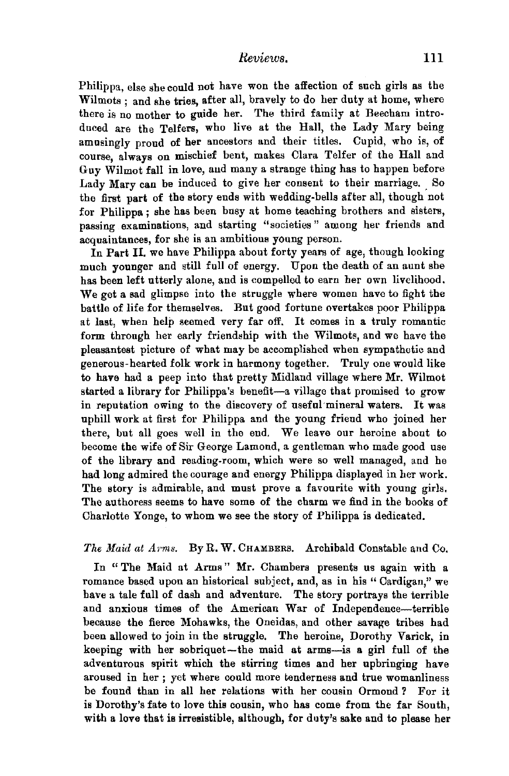Philippa, else she could not have won the affection of such girls as the Wilmots ; and she tries, after all, bravely to do her duty at home, where there is no mother to guide her. The third family at Beecham introduced are the Telfers, who live at the Hall, the Lady Mary being amusingly proud of her ancestors and their titles. Cupid, who is, of course, always on mischief bent, makes Clara Telfer of the Hall and Guy Wilmot fall in love, and many a strange thing has to happen before Lady Mary can be induced to give her consent to their marriage. So the first part of the story ends with wedding-bells after all, though not for Philippa ; she has been busy at home teaching brothers and sisters, passing examinations, and starting "societies" among her friends and acquaintances, for she is an ambitious young person.

In Part II. we have Philippa about forty years of age, though looking much younger and still full of energy. Upon the death of an aunt she has been left utterly alone, and is compelled to earn her own livelihood. We get a sad glimpse into the struggle where women have to fight the battle of life for themselves. But good fortune overtakes poor Philippa at last, when help seemed very far off. It comes in a truly romantic form through her early friendship with the Wilmots, and we have the pleasantest picture of what may be accomplished when sympathetic and generous-hearted folk work in harmony together. Truly one would like to have had a peep into that pretty Midland village where Mr. Wilmot started a library for Philippa's benefit-a village that promised to grow in reputation owing to the discovery of useful'mineral waters. It was uphill work at first for Philippa and the young friend who joined her there, but all goes well in the end. We leave our heroine about to become the wife of Sir George Lamond, a gentleman who made good use of the library and reading-room, which were so well managed, and he had long admired the courage and energy Philippa displayed in her work. The story is admirable, and must prove a favourite with young girls. The authoress seems to have some of the charm we find in the books of Charlotte Yonge, to whom we see the story of Philippa is dedicated.

#### The Maid at Arms. By R. W. CHAMBERS. Archibald Constable and Co.

In "The Maid at Arms" Mr. Chambers presents us again with a romance based upon an historical subject, and, as in his "Cardigan," we have a tale full of dash and adventure. The story portrays the terrible and anxious times of the American War of Independence-terrible because the fierce Mohawks, the Oneidas, and other savage tribes had been allowed to join in the struggle. The heroine, Dorothy Varick, in keeping with her sobriquet-the maid at arms-is a girl full of the adventurous spirit which the stirring times and her upbringing have aroused in her ; yet where could more tenderness and true womanliness be found than in all her relations with her cousin Ormond? For it is Dorothy's fate to love this cousin, who has come from the far South, with a love that is irresistible, although, for duty's sake and to please her